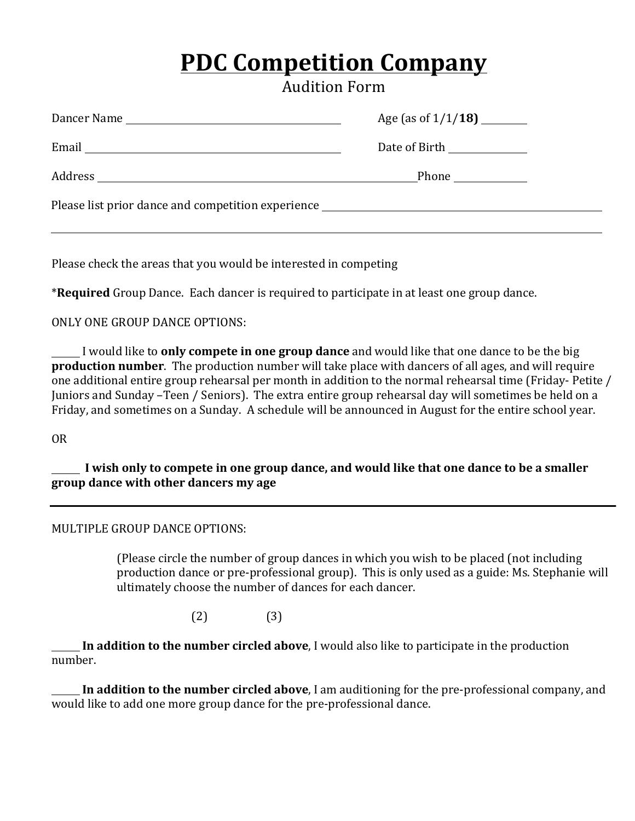# **PDC Competition Company**

Audition Form

| Date of Birth _____________                        |  |  |  |  |  |
|----------------------------------------------------|--|--|--|--|--|
| Phone $\qquad \qquad$                              |  |  |  |  |  |
| Please list prior dance and competition experience |  |  |  |  |  |
|                                                    |  |  |  |  |  |

Please check the areas that you would be interested in competing

\*Required Group Dance. Each dancer is required to participate in at least one group dance.

ONLY ONE GROUP DANCE OPTIONS:

I would like to **only compete in one group dance** and would like that one dance to be the big **production number**. The production number will take place with dancers of all ages, and will require one additional entire group rehearsal per month in addition to the normal rehearsal time (Friday- Petite / Juniors and Sunday –Teen / Seniors). The extra entire group rehearsal day will sometimes be held on a Friday, and sometimes on a Sunday. A schedule will be announced in August for the entire school year.

OR

I wish only to compete in one group dance, and would like that one dance to be a smaller **group dance with other dancers my age**

#### MULTIPLE GROUP DANCE OPTIONS:

(Please circle the number of group dances in which you wish to be placed (not including production dance or pre-professional group). This is only used as a guide: Ms. Stephanie will ultimately choose the number of dances for each dancer.

 $(2)$   $(3)$ 

**In addition to the number circled above**, I would also like to participate in the production number.

**In addition to the number circled above**, I am auditioning for the pre-professional company, and would like to add one more group dance for the pre-professional dance.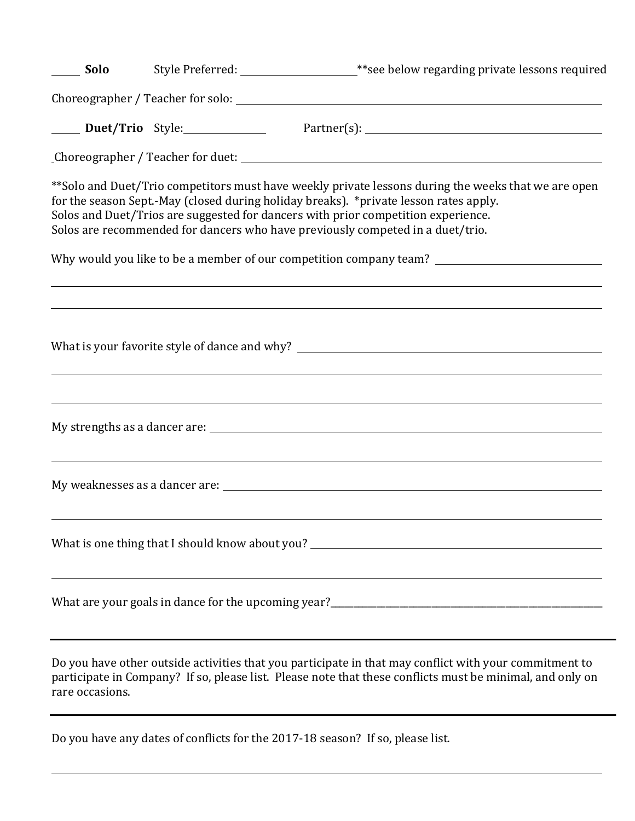| Solo            |                                                                                                                                                                                                                                                                                                                                                                      |
|-----------------|----------------------------------------------------------------------------------------------------------------------------------------------------------------------------------------------------------------------------------------------------------------------------------------------------------------------------------------------------------------------|
|                 |                                                                                                                                                                                                                                                                                                                                                                      |
|                 |                                                                                                                                                                                                                                                                                                                                                                      |
|                 |                                                                                                                                                                                                                                                                                                                                                                      |
|                 | ** Solo and Duet/Trio competitors must have weekly private lessons during the weeks that we are open<br>for the season Sept.-May (closed during holiday breaks). *private lesson rates apply.<br>Solos and Duet/Trios are suggested for dancers with prior competition experience.<br>Solos are recommended for dancers who have previously competed in a duet/trio. |
|                 | Why would you like to be a member of our competition company team? _________________________________                                                                                                                                                                                                                                                                 |
|                 |                                                                                                                                                                                                                                                                                                                                                                      |
|                 |                                                                                                                                                                                                                                                                                                                                                                      |
|                 |                                                                                                                                                                                                                                                                                                                                                                      |
|                 | What is one thing that I should know about you? _________________________________                                                                                                                                                                                                                                                                                    |
|                 |                                                                                                                                                                                                                                                                                                                                                                      |
| rare occasions. | Do you have other outside activities that you participate in that may conflict with your commitment to<br>participate in Company? If so, please list. Please note that these conflicts must be minimal, and only on                                                                                                                                                  |

Do you have any dates of conflicts for the 2017-18 season? If so, please list.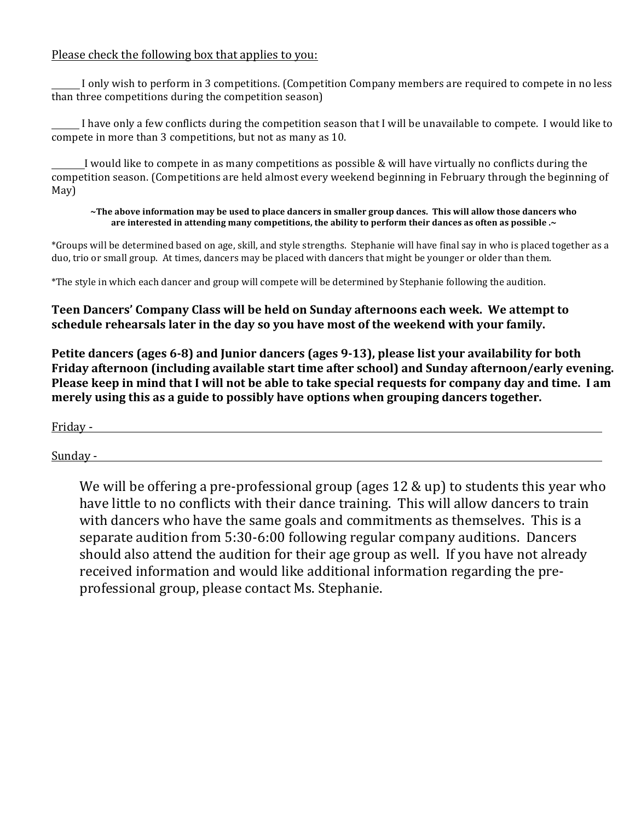#### Please check the following box that applies to you:

I only wish to perform in 3 competitions. (Competition Company members are required to compete in no less than three competitions during the competition season)

 $\_$  I have only a few conflicts during the competition season that I will be unavailable to compete. I would like to compete in more than 3 competitions, but not as many as 10.

I would like to compete in as many competitions as possible  $&$  will have virtually no conflicts during the competition season. (Competitions are held almost every weekend beginning in February through the beginning of May)

#### ~The above information may be used to place dancers in smaller group dances. This will allow those dancers who are interested in attending many competitions, the ability to perform their dances as often as possible .~

\*Groups will be determined based on age, skill, and style strengths. Stephanie will have final say in who is placed together as a duo, trio or small group. At times, dancers may be placed with dancers that might be younger or older than them.

\*The style in which each dancer and group will compete will be determined by Stephanie following the audition.

#### **Teen Dancers' Company Class will be held on Sunday afternoons each week. We attempt to** schedule rehearsals later in the day so you have most of the weekend with your family.

Petite dancers (ages 6-8) and Junior dancers (ages 9-13), please list your availability for both Friday afternoon (including available start time after school) and Sunday afternoon/early evening. Please keep in mind that I will not be able to take special requests for company day and time. I am merely using this as a guide to possibly have options when grouping dancers together.

Friday -

Sunday -

We will be offering a pre-professional group (ages  $12 \& \text{up}$ ) to students this year who have little to no conflicts with their dance training. This will allow dancers to train with dancers who have the same goals and commitments as themselves. This is a separate audition from 5:30-6:00 following regular company auditions. Dancers should also attend the audition for their age group as well. If you have not already received information and would like additional information regarding the preprofessional group, please contact Ms. Stephanie.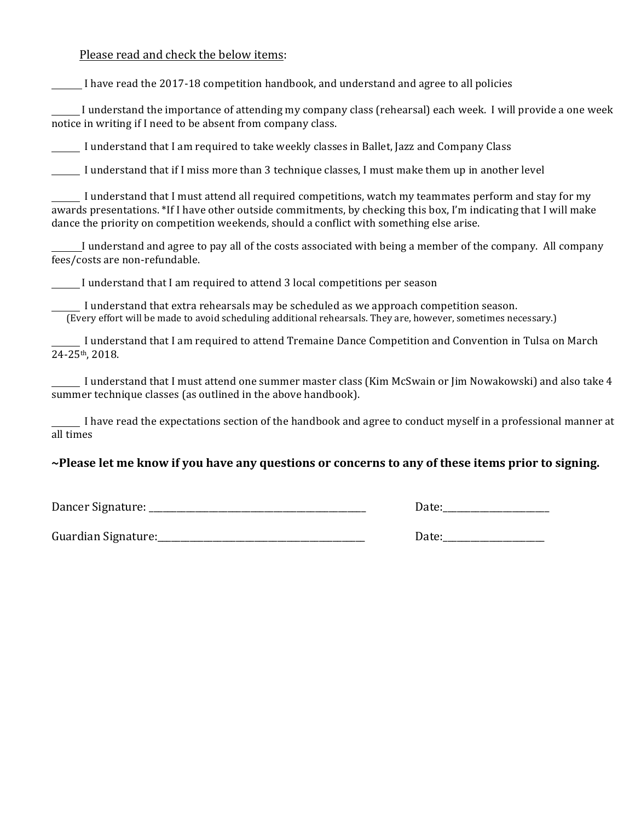Please read and check the below items:

I have read the 2017-18 competition handbook, and understand and agree to all policies

I understand the importance of attending my company class (rehearsal) each week. I will provide a one week notice in writing if I need to be absent from company class.

I understand that I am required to take weekly classes in Ballet, Jazz and Company Class

I understand that if I miss more than 3 technique classes, I must make them up in another level

I understand that I must attend all required competitions, watch my teammates perform and stay for my awards presentations. \*If I have other outside commitments, by checking this box, I'm indicating that I will make dance the priority on competition weekends, should a conflict with something else arise.

I understand and agree to pay all of the costs associated with being a member of the company. All company fees/costs are non-refundable.

I understand that I am required to attend 3 local competitions per season

I understand that extra rehearsals may be scheduled as we approach competition season. (Every effort will be made to avoid scheduling additional rehearsals. They are, however, sometimes necessary.)

I understand that I am required to attend Tremaine Dance Competition and Convention in Tulsa on March 24-25th, 2018.

I understand that I must attend one summer master class (Kim McSwain or Jim Nowakowski) and also take 4 summer technique classes (as outlined in the above handbook).

 $\_$  I have read the expectations section of the handbook and agree to conduct myself in a professional manner at all times

#### ~Please let me know if you have any questions or concerns to any of these items prior to signing.

Dancer Signature: \_\_\_\_\_\_\_\_\_\_\_\_\_\_\_\_\_\_\_\_\_\_\_\_\_\_\_\_\_\_\_\_\_\_\_\_\_\_\_\_\_\_\_\_\_\_\_ Date:\_\_\_\_\_\_\_\_\_\_\_\_\_\_\_\_\_\_\_\_\_\_\_

| Date: |  |  |
|-------|--|--|
|       |  |  |

Guardian Signature:\_\_\_\_\_\_\_\_\_\_\_\_\_\_\_\_\_\_\_\_\_\_\_\_\_\_\_\_\_\_\_\_\_\_\_\_\_\_\_\_\_\_\_\_\_ Date:\_\_\_\_\_\_\_\_\_\_\_\_\_\_\_\_\_\_\_\_\_\_